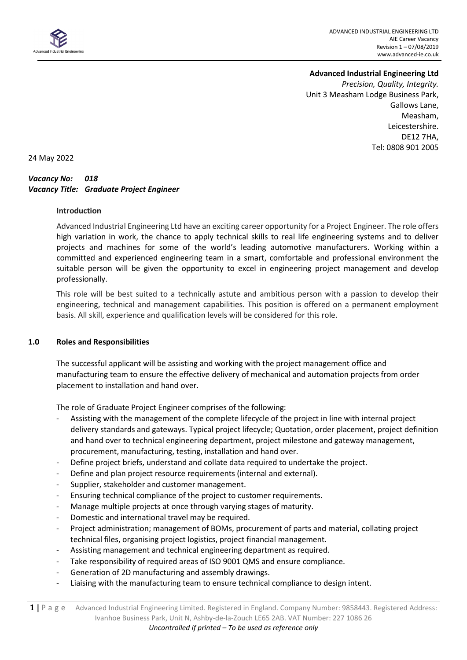

# **Advanced Industrial Engineering Ltd**

*Precision, Quality, Integrity.* Unit 3 Measham Lodge Business Park, Gallows Lane, Measham, Leicestershire. DE12 7HA, Tel: 0808 901 2005

24 May 2022

## *Vacancy No: 018 Vacancy Title: Graduate Project Engineer*

### **Introduction**

Advanced Industrial Engineering Ltd have an exciting career opportunity for a Project Engineer. The role offers high variation in work, the chance to apply technical skills to real life engineering systems and to deliver projects and machines for some of the world's leading automotive manufacturers. Working within a committed and experienced engineering team in a smart, comfortable and professional environment the suitable person will be given the opportunity to excel in engineering project management and develop professionally.

This role will be best suited to a technically astute and ambitious person with a passion to develop their engineering, technical and management capabilities. This position is offered on a permanent employment basis. All skill, experience and qualification levels will be considered for this role.

#### **1.0 Roles and Responsibilities**

The successful applicant will be assisting and working with the project management office and manufacturing team to ensure the effective delivery of mechanical and automation projects from order placement to installation and hand over.

The role of Graduate Project Engineer comprises of the following:

- Assisting with the management of the complete lifecycle of the project in line with internal project delivery standards and gateways. Typical project lifecycle; Quotation, order placement, project definition and hand over to technical engineering department, project milestone and gateway management, procurement, manufacturing, testing, installation and hand over.
- Define project briefs, understand and collate data required to undertake the project.
- Define and plan project resource requirements (internal and external).
- Supplier, stakeholder and customer management.
- Ensuring technical compliance of the project to customer requirements.
- Manage multiple projects at once through varying stages of maturity.
- Domestic and international travel may be required.
- Project administration; management of BOMs, procurement of parts and material, collating project technical files, organising project logistics, project financial management.
- Assisting management and technical engineering department as required.
- Take responsibility of required areas of ISO 9001 QMS and ensure compliance.
- Generation of 2D manufacturing and assembly drawings.
- Liaising with the manufacturing team to ensure technical compliance to design intent.